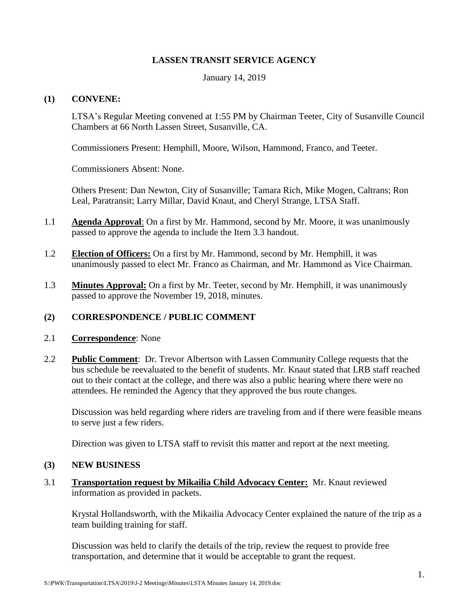## **LASSEN TRANSIT SERVICE AGENCY**

January 14, 2019

### **(1) CONVENE:**

LTSA's Regular Meeting convened at 1:55 PM by Chairman Teeter, City of Susanville Council Chambers at 66 North Lassen Street, Susanville, CA.

Commissioners Present: Hemphill, Moore, Wilson, Hammond, Franco, and Teeter.

Commissioners Absent: None.

Others Present: Dan Newton, City of Susanville; Tamara Rich, Mike Mogen, Caltrans; Ron Leal, Paratransit; Larry Millar, David Knaut, and Cheryl Strange, LTSA Staff.

- 1.1 **Agenda Approval**: On a first by Mr. Hammond, second by Mr. Moore, it was unanimously passed to approve the agenda to include the Item 3.3 handout.
- 1.2 **Election of Officers:** On a first by Mr. Hammond, second by Mr. Hemphill, it was unanimously passed to elect Mr. Franco as Chairman, and Mr. Hammond as Vice Chairman.
- 1.3 **Minutes Approval:** On a first by Mr. Teeter, second by Mr. Hemphill, it was unanimously passed to approve the November 19, 2018, minutes.

## **(2) CORRESPONDENCE / PUBLIC COMMENT**

#### 2.1 **Correspondence**: None

2.2 **Public Comment**: Dr. Trevor Albertson with Lassen Community College requests that the bus schedule be reevaluated to the benefit of students. Mr. Knaut stated that LRB staff reached out to their contact at the college, and there was also a public hearing where there were no attendees. He reminded the Agency that they approved the bus route changes.

Discussion was held regarding where riders are traveling from and if there were feasible means to serve just a few riders.

Direction was given to LTSA staff to revisit this matter and report at the next meeting.

#### **(3) NEW BUSINESS**

3.1 **Transportation request by Mikailia Child Advocacy Center:** Mr. Knaut reviewed information as provided in packets.

Krystal Hollandsworth, with the Mikailia Advocacy Center explained the nature of the trip as a team building training for staff.

Discussion was held to clarify the details of the trip, review the request to provide free transportation, and determine that it would be acceptable to grant the request.